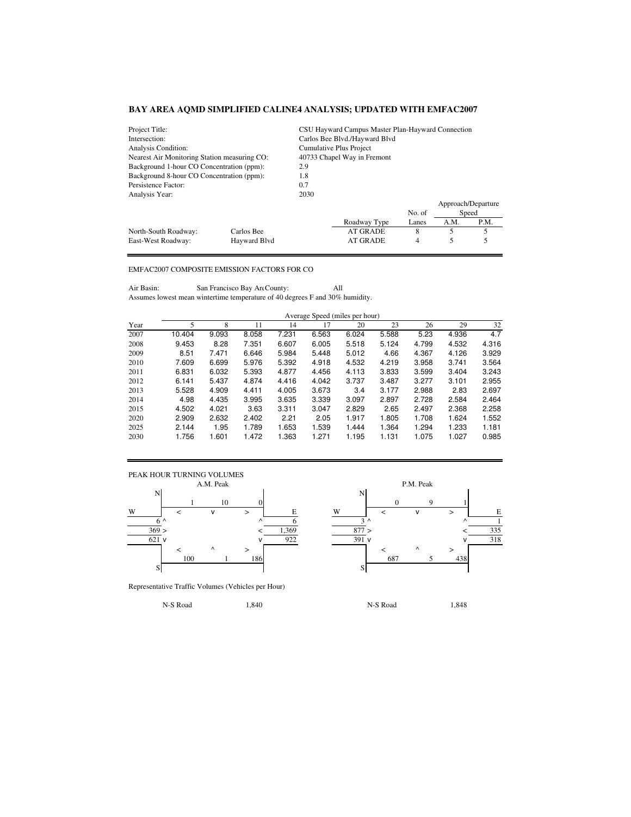| Project Title:                                             |            | CSU Hayward Campus Master Plan-Hayward Connection |                               |        |      |                    |  |  |
|------------------------------------------------------------|------------|---------------------------------------------------|-------------------------------|--------|------|--------------------|--|--|
| Intersection:                                              |            |                                                   | Carlos Bee Blvd./Hayward Blvd |        |      |                    |  |  |
| Analysis Condition:                                        |            | Cumulative Plus Project                           |                               |        |      |                    |  |  |
| Nearest Air Monitoring Station measuring CO:               |            | 40733 Chapel Way in Fremont                       |                               |        |      |                    |  |  |
| Background 1-hour CO Concentration (ppm):                  |            | 2.9                                               |                               |        |      |                    |  |  |
| Background 8-hour CO Concentration (ppm):                  | 1.8        |                                                   |                               |        |      |                    |  |  |
| Persistence Factor:                                        | 0.7        |                                                   |                               |        |      |                    |  |  |
| Analysis Year:                                             |            | 2030                                              |                               |        |      |                    |  |  |
|                                                            |            |                                                   |                               |        |      | Approach/Departure |  |  |
|                                                            |            |                                                   |                               | No. of |      | Speed              |  |  |
|                                                            |            |                                                   | Roadway Type                  | Lanes  | A.M. | P.M.               |  |  |
| North-South Roadway:                                       | Carlos Bee |                                                   | AT GRADE                      | 8      | 5    | 5                  |  |  |
| Havward Blvd<br><b>AT GRADE</b><br>East-West Roadway:<br>4 |            |                                                   |                               |        |      |                    |  |  |

## EMFAC2007 COMPOSITE EMISSION FACTORS FOR CO

Air Basin: San Francisco Bay Are County: All Assumes lowest mean wintertime temperature of 40 degrees F and 30% humidity.

|      | Average Speed (miles per hour) |       |       |       |       |       |       |       |       |       |
|------|--------------------------------|-------|-------|-------|-------|-------|-------|-------|-------|-------|
| Year | 5                              | 8     | 11    | 14    | 17    | 20    | 23    | 26    | 29    | 32    |
| 2007 | 10.404                         | 9.093 | 8.058 | 7.231 | 6.563 | 6.024 | 5.588 | 5.23  | 4.936 | 4.7   |
| 2008 | 9.453                          | 8.28  | 7.351 | 6.607 | 6.005 | 5.518 | 5.124 | 4.799 | 4.532 | 4.316 |
| 2009 | 8.51                           | 7.471 | 6.646 | 5.984 | 5.448 | 5.012 | 4.66  | 4.367 | 4.126 | 3.929 |
| 2010 | 7.609                          | 6.699 | 5.976 | 5.392 | 4.918 | 4.532 | 4.219 | 3.958 | 3.741 | 3.564 |
| 2011 | 6.831                          | 6.032 | 5.393 | 4.877 | 4.456 | 4.113 | 3.833 | 3.599 | 3.404 | 3.243 |
| 2012 | 6.141                          | 5.437 | 4.874 | 4.416 | 4.042 | 3.737 | 3.487 | 3.277 | 3.101 | 2.955 |
| 2013 | 5.528                          | 4.909 | 4.411 | 4.005 | 3.673 | 3.4   | 3.177 | 2.988 | 2.83  | 2.697 |
| 2014 | 4.98                           | 4.435 | 3.995 | 3.635 | 3.339 | 3.097 | 2.897 | 2.728 | 2.584 | 2.464 |
| 2015 | 4.502                          | 4.021 | 3.63  | 3.311 | 3.047 | 2.829 | 2.65  | 2.497 | 2.368 | 2.258 |
| 2020 | 2.909                          | 2.632 | 2.402 | 2.21  | 2.05  | 1.917 | 1.805 | 1.708 | 1.624 | 1.552 |
| 2025 | 2.144                          | 1.95  | 1.789 | 1.653 | 1.539 | 1.444 | 1.364 | 1.294 | 1.233 | 1.181 |
| 2030 | 1.756                          | 1.601 | 1.472 | 1.363 | 1.271 | 1.195 | 1.131 | 1.075 | 1.027 | 0.985 |



Representative Traffic Volumes (Vehicles per Hour)

1 10 0 0 0 0 0 0 0 9 1  $6^{\wedge}$   $6^{\wedge}$   $1$  $369 >$   $<$   $1,369$   $877 >$   $<$   $335$  $\sqrt{922}$   $\sqrt{922}$   $\sqrt{931}$  v  $\sqrt{931}$ 100 1 186 687 5 438

N-S Road 1,840 1,840 N-S Road 1,848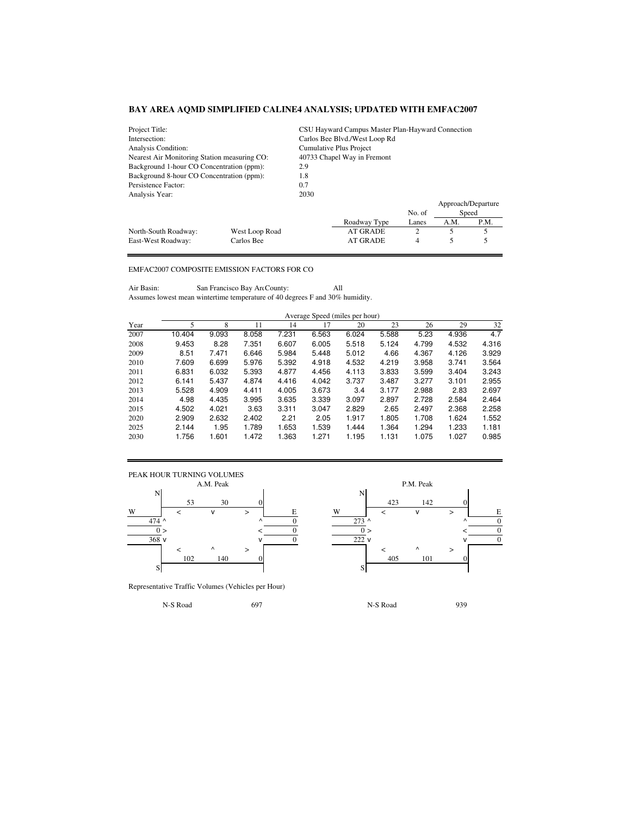| Project Title:                               |                                    |                             | CSU Hayward Campus Master Plan-Hayward Connection |        |      |                    |  |  |  |
|----------------------------------------------|------------------------------------|-----------------------------|---------------------------------------------------|--------|------|--------------------|--|--|--|
| Intersection:                                |                                    |                             | Carlos Bee Blvd./West Loop Rd                     |        |      |                    |  |  |  |
| Analysis Condition:                          |                                    | Cumulative Plus Project     |                                                   |        |      |                    |  |  |  |
| Nearest Air Monitoring Station measuring CO: |                                    | 40733 Chapel Way in Fremont |                                                   |        |      |                    |  |  |  |
| Background 1-hour CO Concentration (ppm):    |                                    | 2.9                         |                                                   |        |      |                    |  |  |  |
| Background 8-hour CO Concentration (ppm):    |                                    | 1.8                         |                                                   |        |      |                    |  |  |  |
| Persistence Factor:<br>0.7                   |                                    |                             |                                                   |        |      |                    |  |  |  |
| Analysis Year:                               |                                    | 2030                        |                                                   |        |      |                    |  |  |  |
|                                              |                                    |                             |                                                   |        |      | Approach/Departure |  |  |  |
|                                              |                                    |                             |                                                   | No. of |      | Speed              |  |  |  |
|                                              |                                    |                             | Roadway Type                                      | Lanes  | A.M. | P.M.               |  |  |  |
| North-South Roadway:                         | West Loop Road                     |                             | AT GRADE                                          | 2      | 5    | 5                  |  |  |  |
| East-West Roadway:                           | <b>AT GRADE</b><br>Carlos Bee<br>4 |                             |                                                   |        |      |                    |  |  |  |

## EMFAC2007 COMPOSITE EMISSION FACTORS FOR CO

Air Basin: San Francisco Bay Are County: All Assumes lowest mean wintertime temperature of 40 degrees F and 30% humidity.

|      | Average Speed (miles per hour) |       |       |       |       |       |       |       |       |       |
|------|--------------------------------|-------|-------|-------|-------|-------|-------|-------|-------|-------|
| Year | 5                              | 8     | 11    | 14    | 17    | 20    | 23    | 26    | 29    | 32    |
| 2007 | 10.404                         | 9.093 | 8.058 | 7.231 | 6.563 | 6.024 | 5.588 | 5.23  | 4.936 | 4.7   |
| 2008 | 9.453                          | 8.28  | 7.351 | 6.607 | 6.005 | 5.518 | 5.124 | 4.799 | 4.532 | 4.316 |
| 2009 | 8.51                           | 7.471 | 6.646 | 5.984 | 5.448 | 5.012 | 4.66  | 4.367 | 4.126 | 3.929 |
| 2010 | 7.609                          | 6.699 | 5.976 | 5.392 | 4.918 | 4.532 | 4.219 | 3.958 | 3.741 | 3.564 |
| 2011 | 6.831                          | 6.032 | 5.393 | 4.877 | 4.456 | 4.113 | 3.833 | 3.599 | 3.404 | 3.243 |
| 2012 | 6.141                          | 5.437 | 4.874 | 4.416 | 4.042 | 3.737 | 3.487 | 3.277 | 3.101 | 2.955 |
| 2013 | 5.528                          | 4.909 | 4.411 | 4.005 | 3.673 | 3.4   | 3.177 | 2.988 | 2.83  | 2.697 |
| 2014 | 4.98                           | 4.435 | 3.995 | 3.635 | 3.339 | 3.097 | 2.897 | 2.728 | 2.584 | 2.464 |
| 2015 | 4.502                          | 4.021 | 3.63  | 3.311 | 3.047 | 2.829 | 2.65  | 2.497 | 2.368 | 2.258 |
| 2020 | 2.909                          | 2.632 | 2.402 | 2.21  | 2.05  | 1.917 | 1.805 | 1.708 | 1.624 | 1.552 |
| 2025 | 2.144                          | 1.95  | 1.789 | 1.653 | 1.539 | 1.444 | 1.364 | 1.294 | 1.233 | 1.181 |
| 2030 | 1.756                          | 1.601 | 1.472 | 1.363 | 1.271 | 1.195 | 1.131 | 1.075 | 1.027 | 0.985 |



Representative Traffic Volumes (Vehicles per Hour)

53 30 0 423 142 0 474 ^  $\sim$  0 273 ^  $\sim$  0  $\sim$  0  $\sim$  0  $0 >$   $<$   $0$   $0 >$   $<$   $0$  $\sqrt{0}$  222 v  $\sqrt{0}$  222 v  $\sqrt{0}$ 102 140 0 405 101 0

N-S Road 697 697 N-S Road 939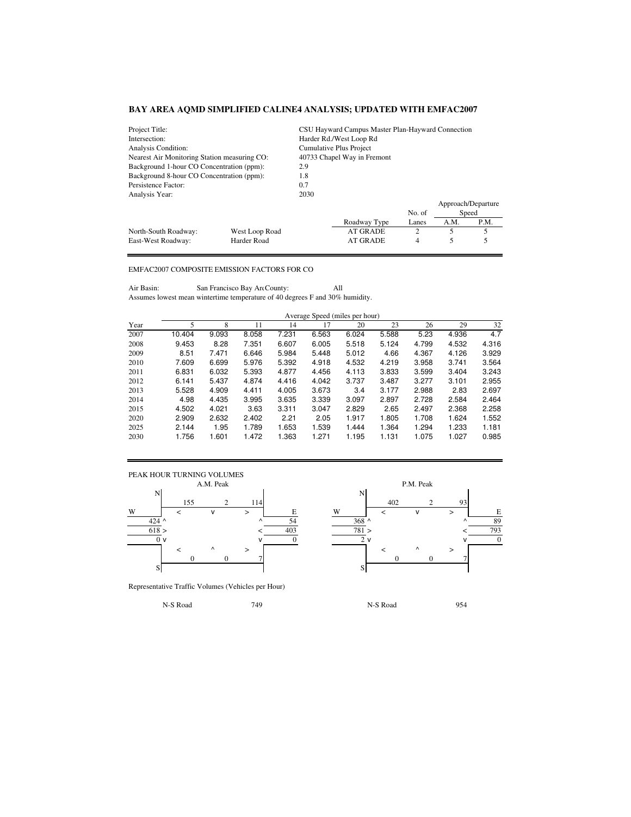| Project Title:                               |                                     | CSU Hayward Campus Master Plan-Hayward Connection |                         |        |      |                    |  |  |
|----------------------------------------------|-------------------------------------|---------------------------------------------------|-------------------------|--------|------|--------------------|--|--|
| Intersection:                                |                                     |                                                   | Harder Rd./West Loop Rd |        |      |                    |  |  |
| Analysis Condition:                          |                                     | Cumulative Plus Project                           |                         |        |      |                    |  |  |
| Nearest Air Monitoring Station measuring CO: |                                     | 40733 Chapel Way in Fremont                       |                         |        |      |                    |  |  |
| Background 1-hour CO Concentration (ppm):    |                                     | 2.9                                               |                         |        |      |                    |  |  |
| Background 8-hour CO Concentration (ppm):    |                                     |                                                   |                         |        |      |                    |  |  |
| Persistence Factor:<br>0.7                   |                                     |                                                   |                         |        |      |                    |  |  |
| Analysis Year:                               |                                     | 2030                                              |                         |        |      |                    |  |  |
|                                              |                                     |                                                   |                         |        |      | Approach/Departure |  |  |
|                                              |                                     |                                                   |                         | No. of |      | Speed              |  |  |
|                                              |                                     |                                                   | Roadway Type            | Lanes  | A.M. | P.M.               |  |  |
| North-South Roadway:                         | West Loop Road                      |                                                   | AT GRADE                | 2      | 5    | 5                  |  |  |
| East-West Roadway:                           | <b>AT GRADE</b><br>Harder Road<br>4 |                                                   |                         |        |      |                    |  |  |

## EMFAC2007 COMPOSITE EMISSION FACTORS FOR CO

Air Basin: San Francisco Bay Are County: All Assumes lowest mean wintertime temperature of 40 degrees F and 30% humidity.

|      | Average Speed (miles per hour) |       |       |       |       |       |       |       |       |       |
|------|--------------------------------|-------|-------|-------|-------|-------|-------|-------|-------|-------|
| Year | 5                              | 8     | 11    | 14    | 17    | 20    | 23    | 26    | 29    | 32    |
| 2007 | 10.404                         | 9.093 | 8.058 | 7.231 | 6.563 | 6.024 | 5.588 | 5.23  | 4.936 | 4.7   |
| 2008 | 9.453                          | 8.28  | 7.351 | 6.607 | 6.005 | 5.518 | 5.124 | 4.799 | 4.532 | 4.316 |
| 2009 | 8.51                           | 7.471 | 6.646 | 5.984 | 5.448 | 5.012 | 4.66  | 4.367 | 4.126 | 3.929 |
| 2010 | 7.609                          | 6.699 | 5.976 | 5.392 | 4.918 | 4.532 | 4.219 | 3.958 | 3.741 | 3.564 |
| 2011 | 6.831                          | 6.032 | 5.393 | 4.877 | 4.456 | 4.113 | 3.833 | 3.599 | 3.404 | 3.243 |
| 2012 | 6.141                          | 5.437 | 4.874 | 4.416 | 4.042 | 3.737 | 3.487 | 3.277 | 3.101 | 2.955 |
| 2013 | 5.528                          | 4.909 | 4.411 | 4.005 | 3.673 | 3.4   | 3.177 | 2.988 | 2.83  | 2.697 |
| 2014 | 4.98                           | 4.435 | 3.995 | 3.635 | 3.339 | 3.097 | 2.897 | 2.728 | 2.584 | 2.464 |
| 2015 | 4.502                          | 4.021 | 3.63  | 3.311 | 3.047 | 2.829 | 2.65  | 2.497 | 2.368 | 2.258 |
| 2020 | 2.909                          | 2.632 | 2.402 | 2.21  | 2.05  | 1.917 | 1.805 | 1.708 | 1.624 | 1.552 |
| 2025 | 2.144                          | 1.95  | 1.789 | 1.653 | 1.539 | 1.444 | 1.364 | 1.294 | 1.233 | 1.181 |
| 2030 | 1.756                          | 1.601 | 1.472 | 1.363 | 1.271 | 1.195 | 1.131 | 1.075 | 1.027 | 0.985 |



Representative Traffic Volumes (Vehicles per Hour)

P.M. Peak 155 2 114 402 2 93 424 ^  $\sim$   $\sim$   $\sim$  54  $\sim$  368 ^  $\sim$   $\sim$  89  $618 >$   $<$   $403$   $781 >$   $<$   $793$  $\overline{0}$  v  $\overline{0}$  v  $\overline{0}$   $\overline{2}$  v  $\overline{0}$   $\overline{2}$  v  $\overline{0}$ 0 0 0 7 0 0 0 7

N-S Road 954 and 749 and 749 and N-S Road 954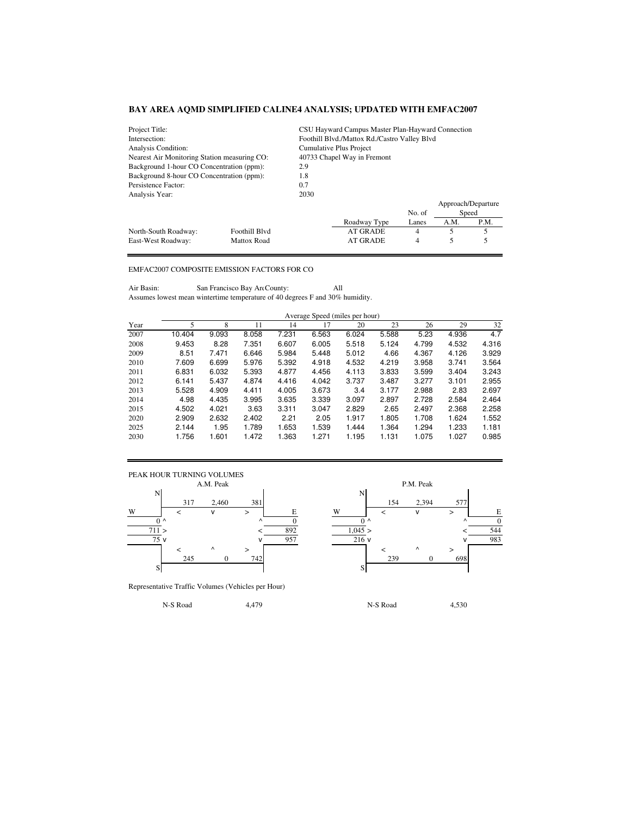| Project Title:                                   |                                            | CSU Hayward Campus Master Plan-Hayward Connection |                                              |        |      |                    |  |  |  |
|--------------------------------------------------|--------------------------------------------|---------------------------------------------------|----------------------------------------------|--------|------|--------------------|--|--|--|
| Intersection:                                    |                                            |                                                   | Foothill Blvd./Mattox Rd./Castro Valley Blvd |        |      |                    |  |  |  |
| Analysis Condition:                              |                                            | Cumulative Plus Project                           |                                              |        |      |                    |  |  |  |
| Nearest Air Monitoring Station measuring CO:     |                                            | 40733 Chapel Way in Fremont                       |                                              |        |      |                    |  |  |  |
| Background 1-hour CO Concentration (ppm):        |                                            | 2.9                                               |                                              |        |      |                    |  |  |  |
| Background 8-hour CO Concentration (ppm):<br>1.8 |                                            |                                                   |                                              |        |      |                    |  |  |  |
| Persistence Factor:<br>0.7                       |                                            |                                                   |                                              |        |      |                    |  |  |  |
| Analysis Year:                                   |                                            | 2030                                              |                                              |        |      |                    |  |  |  |
|                                                  |                                            |                                                   |                                              |        |      | Approach/Departure |  |  |  |
|                                                  |                                            |                                                   |                                              | No. of |      | Speed              |  |  |  |
|                                                  |                                            |                                                   | Roadway Type                                 | Lanes  | A.M. | P.M.               |  |  |  |
| North-South Roadway:                             | Foothill Blvd                              |                                                   | AT GRADE                                     | 4      | 5    | 5                  |  |  |  |
| East-West Roadway:                               | <b>AT GRADE</b><br><b>Mattox Road</b><br>4 |                                                   |                                              |        |      |                    |  |  |  |

## EMFAC2007 COMPOSITE EMISSION FACTORS FOR CO

Air Basin: San Francisco Bay Are County: All Assumes lowest mean wintertime temperature of 40 degrees F and 30% humidity.

|      | Average Speed (miles per hour) |       |       |       |       |       |       |       |       |       |
|------|--------------------------------|-------|-------|-------|-------|-------|-------|-------|-------|-------|
| Year | 5                              | 8     | 11    | 14    | 17    | 20    | 23    | 26    | 29    | 32    |
| 2007 | 10.404                         | 9.093 | 8.058 | 7.231 | 6.563 | 6.024 | 5.588 | 5.23  | 4.936 | 4.7   |
| 2008 | 9.453                          | 8.28  | 7.351 | 6.607 | 6.005 | 5.518 | 5.124 | 4.799 | 4.532 | 4.316 |
| 2009 | 8.51                           | 7.471 | 6.646 | 5.984 | 5.448 | 5.012 | 4.66  | 4.367 | 4.126 | 3.929 |
| 2010 | 7.609                          | 6.699 | 5.976 | 5.392 | 4.918 | 4.532 | 4.219 | 3.958 | 3.741 | 3.564 |
| 2011 | 6.831                          | 6.032 | 5.393 | 4.877 | 4.456 | 4.113 | 3.833 | 3.599 | 3.404 | 3.243 |
| 2012 | 6.141                          | 5.437 | 4.874 | 4.416 | 4.042 | 3.737 | 3.487 | 3.277 | 3.101 | 2.955 |
| 2013 | 5.528                          | 4.909 | 4.411 | 4.005 | 3.673 | 3.4   | 3.177 | 2.988 | 2.83  | 2.697 |
| 2014 | 4.98                           | 4.435 | 3.995 | 3.635 | 3.339 | 3.097 | 2.897 | 2.728 | 2.584 | 2.464 |
| 2015 | 4.502                          | 4.021 | 3.63  | 3.311 | 3.047 | 2.829 | 2.65  | 2.497 | 2.368 | 2.258 |
| 2020 | 2.909                          | 2.632 | 2.402 | 2.21  | 2.05  | 1.917 | 1.805 | 1.708 | 1.624 | 1.552 |
| 2025 | 2.144                          | 1.95  | 1.789 | 1.653 | 1.539 | 1.444 | 1.364 | 1.294 | 1.233 | 1.181 |
| 2030 | 1.756                          | 1.601 | 1.472 | 1.363 | 1.271 | 1.195 | 1.131 | 1.075 | 1.027 | 0.985 |



Representative Traffic Volumes (Vehicles per Hour)

317 2,460 381 154 2,394 577  $0 \wedge$   $0 \wedge$  0  $0 \wedge$   $0 \wedge$   $0 \wedge$  0  $0 \wedge$  0  $711 >$   $<$   $892$   $1,045 >$   $<$   $544$  $\sqrt{957}$  v 983 245 0 742 239 0 698

N-S Road 4,479 N-S Road 4,530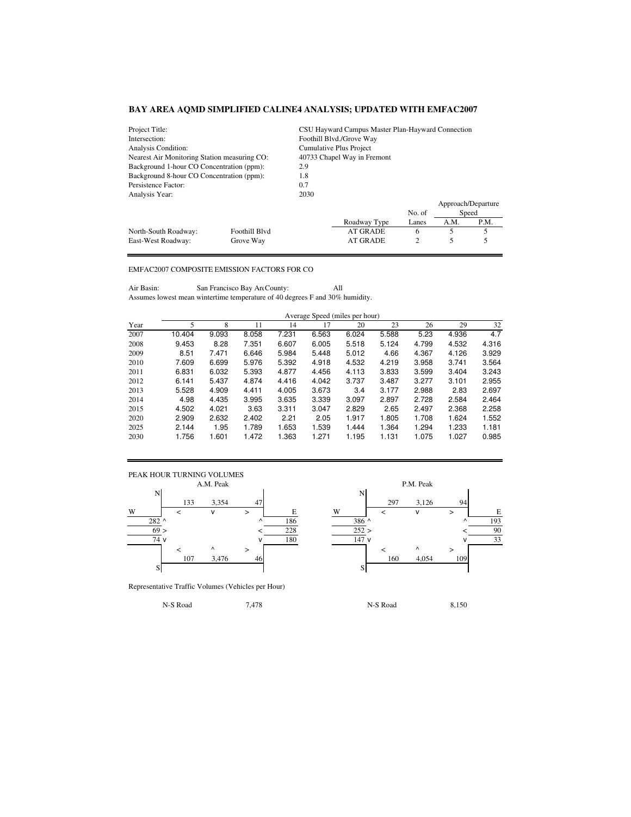| Project Title:                                   |               | CSU Hayward Campus Master Plan-Hayward Connection |                          |        |      |                    |  |  |
|--------------------------------------------------|---------------|---------------------------------------------------|--------------------------|--------|------|--------------------|--|--|
| Intersection:                                    |               |                                                   | Foothill Blvd./Grove Way |        |      |                    |  |  |
| Analysis Condition:                              |               |                                                   | Cumulative Plus Project  |        |      |                    |  |  |
| Nearest Air Monitoring Station measuring CO:     |               | 40733 Chapel Way in Fremont                       |                          |        |      |                    |  |  |
| Background 1-hour CO Concentration (ppm):        |               | 2.9                                               |                          |        |      |                    |  |  |
| Background 8-hour CO Concentration (ppm):<br>1.8 |               |                                                   |                          |        |      |                    |  |  |
| Persistence Factor:<br>0.7                       |               |                                                   |                          |        |      |                    |  |  |
| Analysis Year:                                   |               | 2030                                              |                          |        |      |                    |  |  |
|                                                  |               |                                                   |                          |        |      | Approach/Departure |  |  |
|                                                  |               |                                                   |                          | No. of |      | Speed              |  |  |
|                                                  |               |                                                   | Roadway Type             | Lanes  | A.M. | P.M.               |  |  |
| North-South Roadway:                             | Foothill Blvd |                                                   | <b>AT GRADE</b>          | 6      | 5    | 5                  |  |  |
| 2<br>AT GRADE<br>East-West Roadway:<br>Grove Way |               |                                                   |                          |        |      |                    |  |  |

## EMFAC2007 COMPOSITE EMISSION FACTORS FOR CO

Air Basin: San Francisco Bay Are County: All Assumes lowest mean wintertime temperature of 40 degrees F and 30% humidity.

|      | Average Speed (miles per hour) |       |       |       |       |       |       |       |       |       |
|------|--------------------------------|-------|-------|-------|-------|-------|-------|-------|-------|-------|
| Year | 5                              | 8     | 11    | 14    | 17    | 20    | 23    | 26    | 29    | 32    |
| 2007 | 10.404                         | 9.093 | 8.058 | 7.231 | 6.563 | 6.024 | 5.588 | 5.23  | 4.936 | 4.7   |
| 2008 | 9.453                          | 8.28  | 7.351 | 6.607 | 6.005 | 5.518 | 5.124 | 4.799 | 4.532 | 4.316 |
| 2009 | 8.51                           | 7.471 | 6.646 | 5.984 | 5.448 | 5.012 | 4.66  | 4.367 | 4.126 | 3.929 |
| 2010 | 7.609                          | 6.699 | 5.976 | 5.392 | 4.918 | 4.532 | 4.219 | 3.958 | 3.741 | 3.564 |
| 2011 | 6.831                          | 6.032 | 5.393 | 4.877 | 4.456 | 4.113 | 3.833 | 3.599 | 3.404 | 3.243 |
| 2012 | 6.141                          | 5.437 | 4.874 | 4.416 | 4.042 | 3.737 | 3.487 | 3.277 | 3.101 | 2.955 |
| 2013 | 5.528                          | 4.909 | 4.411 | 4.005 | 3.673 | 3.4   | 3.177 | 2.988 | 2.83  | 2.697 |
| 2014 | 4.98                           | 4.435 | 3.995 | 3.635 | 3.339 | 3.097 | 2.897 | 2.728 | 2.584 | 2.464 |
| 2015 | 4.502                          | 4.021 | 3.63  | 3.311 | 3.047 | 2.829 | 2.65  | 2.497 | 2.368 | 2.258 |
| 2020 | 2.909                          | 2.632 | 2.402 | 2.21  | 2.05  | 1.917 | 1.805 | 1.708 | 1.624 | 1.552 |
| 2025 | 2.144                          | 1.95  | 1.789 | 1.653 | 1.539 | 1.444 | 1.364 | 1.294 | 1.233 | 1.181 |
| 2030 | 1.756                          | 1.601 | 1.472 | 1.363 | 1.271 | 1.195 | 1.131 | 1.075 | 1.027 | 0.985 |



Representative Traffic Volumes (Vehicles per Hour)

133 3,354 47 297 3,126 94  $282$  ^ 186 386 ^ 193  $69 >$   $<$   $228$   $252 >$   $<$   $90$  $\sqrt{180}$  v  $\sqrt{180}$  147 v  $\sqrt{33}$ 107 3,476 46 160 4,054 109

N-S Road 2,478 150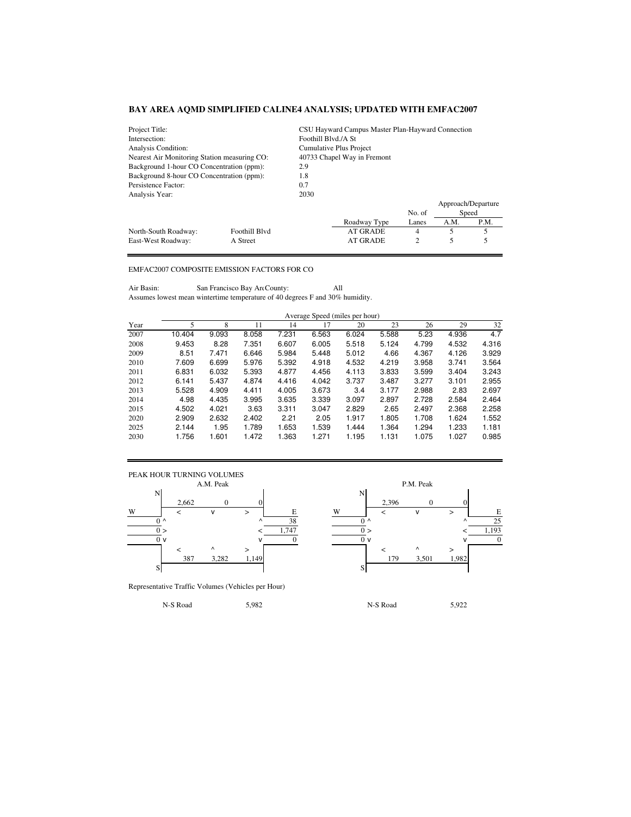| Project Title:                                   |                                  | CSU Hayward Campus Master Plan-Hayward Connection |                         |        |      |                    |  |  |
|--------------------------------------------------|----------------------------------|---------------------------------------------------|-------------------------|--------|------|--------------------|--|--|
| Intersection:                                    |                                  | Foothill Blvd./A St                               |                         |        |      |                    |  |  |
| Analysis Condition:                              |                                  |                                                   | Cumulative Plus Project |        |      |                    |  |  |
| Nearest Air Monitoring Station measuring CO:     |                                  | 40733 Chapel Way in Fremont                       |                         |        |      |                    |  |  |
| Background 1-hour CO Concentration (ppm):        |                                  | 2.9                                               |                         |        |      |                    |  |  |
| Background 8-hour CO Concentration (ppm):<br>1.8 |                                  |                                                   |                         |        |      |                    |  |  |
| Persistence Factor:<br>0.7                       |                                  |                                                   |                         |        |      |                    |  |  |
| Analysis Year:                                   |                                  | 2030                                              |                         |        |      |                    |  |  |
|                                                  |                                  |                                                   |                         |        |      | Approach/Departure |  |  |
|                                                  |                                  |                                                   |                         | No. of |      | Speed              |  |  |
|                                                  |                                  |                                                   | Roadway Type            | Lanes  | A.M. | P.M.               |  |  |
| North-South Roadway:                             | Foothill Blvd                    |                                                   | <b>AT GRADE</b>         | 4      | 5    | 5                  |  |  |
| East-West Roadway:                               | <b>AT GRADE</b><br>2<br>A Street |                                                   |                         |        |      |                    |  |  |

## EMFAC2007 COMPOSITE EMISSION FACTORS FOR CO

Air Basin: San Francisco Bay Are County: All Assumes lowest mean wintertime temperature of 40 degrees F and 30% humidity.

|      | Average Speed (miles per hour) |       |       |       |       |       |       |       |       |       |
|------|--------------------------------|-------|-------|-------|-------|-------|-------|-------|-------|-------|
| Year | 5                              | 8     | 11    | 14    | 17    | 20    | 23    | 26    | 29    | 32    |
| 2007 | 10.404                         | 9.093 | 8.058 | 7.231 | 6.563 | 6.024 | 5.588 | 5.23  | 4.936 | 4.7   |
| 2008 | 9.453                          | 8.28  | 7.351 | 6.607 | 6.005 | 5.518 | 5.124 | 4.799 | 4.532 | 4.316 |
| 2009 | 8.51                           | 7.471 | 6.646 | 5.984 | 5.448 | 5.012 | 4.66  | 4.367 | 4.126 | 3.929 |
| 2010 | 7.609                          | 6.699 | 5.976 | 5.392 | 4.918 | 4.532 | 4.219 | 3.958 | 3.741 | 3.564 |
| 2011 | 6.831                          | 6.032 | 5.393 | 4.877 | 4.456 | 4.113 | 3.833 | 3.599 | 3.404 | 3.243 |
| 2012 | 6.141                          | 5.437 | 4.874 | 4.416 | 4.042 | 3.737 | 3.487 | 3.277 | 3.101 | 2.955 |
| 2013 | 5.528                          | 4.909 | 4.411 | 4.005 | 3.673 | 3.4   | 3.177 | 2.988 | 2.83  | 2.697 |
| 2014 | 4.98                           | 4.435 | 3.995 | 3.635 | 3.339 | 3.097 | 2.897 | 2.728 | 2.584 | 2.464 |
| 2015 | 4.502                          | 4.021 | 3.63  | 3.311 | 3.047 | 2.829 | 2.65  | 2.497 | 2.368 | 2.258 |
| 2020 | 2.909                          | 2.632 | 2.402 | 2.21  | 2.05  | 1.917 | 1.805 | 1.708 | 1.624 | 1.552 |
| 2025 | 2.144                          | 1.95  | 1.789 | 1.653 | 1.539 | 1.444 | 1.364 | 1.294 | 1.233 | 1.181 |
| 2030 | 1.756                          | 1.601 | 1.472 | 1.363 | 1.271 | 1.195 | 1.131 | 1.075 | 1.027 | 0.985 |



Representative Traffic Volumes (Vehicles per Hour)

P.M. Peak 2,662 0 0 0 2,396 0 0  $0 \wedge$   $0 \wedge$   $38$   $0 \wedge$   $0 \wedge$   $0 \wedge$   $0 \wedge$   $0 \wedge$   $0 \wedge$   $0 \wedge$   $0 \wedge$   $0 \wedge$   $0 \wedge$   $0 \wedge$   $0 \wedge$   $0 \wedge$   $0 \wedge$   $0 \wedge$   $0 \wedge$   $0 \wedge$   $0 \wedge$   $0 \wedge$   $0 \wedge$   $0 \wedge$   $0 \wedge$   $0 \wedge$   $0 \wedge$   $0 \wedge$   $0 \wedge$   $0 \wedge$   $0 \wedge$   $0 \wedge$  $0 >$   $<$   $1,747$   $0 >$   $<$   $1,193$  $\overline{0}$  v  $\overline{0}$  v  $\overline{0}$  v  $\overline{0}$  v  $\overline{0}$  v  $\overline{0}$  v  $\overline{0}$ 387 3,282 1,149 179 3,501 1,982

N-S Road 5,982 N-S Road 5,922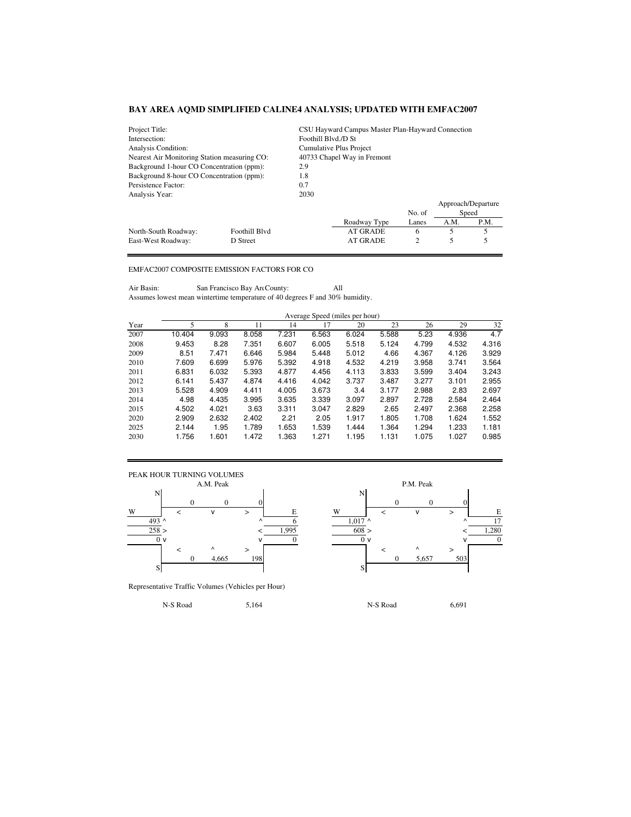| Project Title:                                         |                                                  | CSU Hayward Campus Master Plan-Hayward Connection |                 |        |      |                    |  |  |
|--------------------------------------------------------|--------------------------------------------------|---------------------------------------------------|-----------------|--------|------|--------------------|--|--|
| Intersection:                                          |                                                  | Foothill Blvd./D St                               |                 |        |      |                    |  |  |
| Analysis Condition:                                    |                                                  | Cumulative Plus Project                           |                 |        |      |                    |  |  |
| Nearest Air Monitoring Station measuring CO:           |                                                  | 40733 Chapel Way in Fremont                       |                 |        |      |                    |  |  |
| Background 1-hour CO Concentration (ppm):              |                                                  | 2.9                                               |                 |        |      |                    |  |  |
|                                                        | Background 8-hour CO Concentration (ppm):<br>1.8 |                                                   |                 |        |      |                    |  |  |
| Persistence Factor:<br>0.7                             |                                                  |                                                   |                 |        |      |                    |  |  |
| Analysis Year:                                         |                                                  | 2030                                              |                 |        |      |                    |  |  |
|                                                        |                                                  |                                                   |                 |        |      | Approach/Departure |  |  |
|                                                        |                                                  |                                                   |                 | No. of |      | Speed              |  |  |
|                                                        |                                                  |                                                   | Roadway Type    | Lanes  | A.M. | P.M.               |  |  |
| North-South Roadway:                                   | Foothill Blvd                                    |                                                   | <b>AT GRADE</b> | 6      | 5    | 5                  |  |  |
| 2<br><b>AT GRADE</b><br>East-West Roadway:<br>D Street |                                                  |                                                   |                 |        |      |                    |  |  |

## EMFAC2007 COMPOSITE EMISSION FACTORS FOR CO

Air Basin: San Francisco Bay Are County: All Assumes lowest mean wintertime temperature of 40 degrees F and 30% humidity.

|      | Average Speed (miles per hour) |       |       |       |       |       |       |       |       |       |
|------|--------------------------------|-------|-------|-------|-------|-------|-------|-------|-------|-------|
| Year | 5                              | 8     | 11    | 14    | 17    | 20    | 23    | 26    | 29    | 32    |
| 2007 | 10.404                         | 9.093 | 8.058 | 7.231 | 6.563 | 6.024 | 5.588 | 5.23  | 4.936 | 4.7   |
| 2008 | 9.453                          | 8.28  | 7.351 | 6.607 | 6.005 | 5.518 | 5.124 | 4.799 | 4.532 | 4.316 |
| 2009 | 8.51                           | 7.471 | 6.646 | 5.984 | 5.448 | 5.012 | 4.66  | 4.367 | 4.126 | 3.929 |
| 2010 | 7.609                          | 6.699 | 5.976 | 5.392 | 4.918 | 4.532 | 4.219 | 3.958 | 3.741 | 3.564 |
| 2011 | 6.831                          | 6.032 | 5.393 | 4.877 | 4.456 | 4.113 | 3.833 | 3.599 | 3.404 | 3.243 |
| 2012 | 6.141                          | 5.437 | 4.874 | 4.416 | 4.042 | 3.737 | 3.487 | 3.277 | 3.101 | 2.955 |
| 2013 | 5.528                          | 4.909 | 4.411 | 4.005 | 3.673 | 3.4   | 3.177 | 2.988 | 2.83  | 2.697 |
| 2014 | 4.98                           | 4.435 | 3.995 | 3.635 | 3.339 | 3.097 | 2.897 | 2.728 | 2.584 | 2.464 |
| 2015 | 4.502                          | 4.021 | 3.63  | 3.311 | 3.047 | 2.829 | 2.65  | 2.497 | 2.368 | 2.258 |
| 2020 | 2.909                          | 2.632 | 2.402 | 2.21  | 2.05  | 1.917 | 1.805 | 1.708 | 1.624 | 1.552 |
| 2025 | 2.144                          | 1.95  | 1.789 | 1.653 | 1.539 | 1.444 | 1.364 | 1.294 | 1.233 | 1.181 |
| 2030 | 1.756                          | 1.601 | 1.472 | 1.363 | 1.271 | 1.195 | 1.131 | 1.075 | 1.027 | 0.985 |



Representative Traffic Volumes (Vehicles per Hour)

P.M. Peak  $0 \qquad 0 \qquad 0$ 493 ^  $\sim$  6 1,017 ^  $\sim$  17 258 > < 1,995 608 > < 1,280  $\overline{0}$  v  $\overline{0}$  v  $\overline{0}$  v  $\overline{0}$  v  $\overline{0}$  v  $\overline{0}$  v  $\overline{0}$ 0 4,665 198 0 5,657 503

N-S Road 5,164 N-S Road 6,691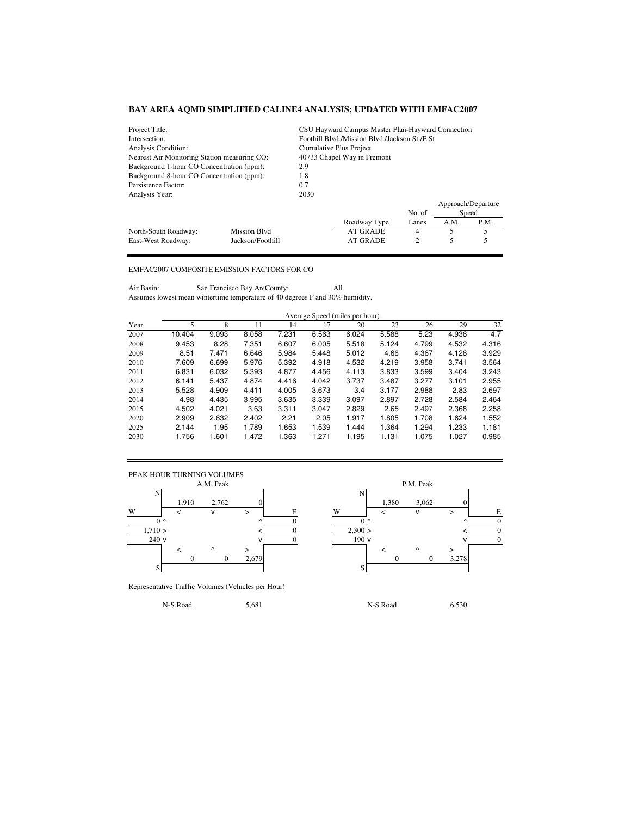| Project Title:                                               |              |                             | CSU Hayward Campus Master Plan-Hayward Connection |        |                    |       |  |  |  |
|--------------------------------------------------------------|--------------|-----------------------------|---------------------------------------------------|--------|--------------------|-------|--|--|--|
| Intersection:                                                |              |                             | Foothill Blvd./Mission Blvd./Jackson St./E St.    |        |                    |       |  |  |  |
| Analysis Condition:                                          |              | Cumulative Plus Project     |                                                   |        |                    |       |  |  |  |
| Nearest Air Monitoring Station measuring CO:                 |              | 40733 Chapel Way in Fremont |                                                   |        |                    |       |  |  |  |
| Background 1-hour CO Concentration (ppm):                    |              | 2.9                         |                                                   |        |                    |       |  |  |  |
| Background 8-hour CO Concentration (ppm):<br>1.8             |              |                             |                                                   |        |                    |       |  |  |  |
| Persistence Factor:<br>0.7                                   |              |                             |                                                   |        |                    |       |  |  |  |
| Analysis Year:                                               |              | 2030                        |                                                   |        |                    |       |  |  |  |
|                                                              |              |                             |                                                   |        | Approach/Departure |       |  |  |  |
|                                                              |              |                             |                                                   | No. of |                    | Speed |  |  |  |
|                                                              |              |                             | Roadway Type                                      | Lanes  | A.M.               | P.M.  |  |  |  |
| North-South Roadway:                                         | Mission Blvd |                             | AT GRADE                                          | 4      | 5                  |       |  |  |  |
| 5<br>2<br>AT GRADE<br>East-West Roadway:<br>Jackson/Foothill |              |                             |                                                   |        |                    |       |  |  |  |

## EMFAC2007 COMPOSITE EMISSION FACTORS FOR CO

Air Basin: San Francisco Bay Are County: All Assumes lowest mean wintertime temperature of 40 degrees F and 30% humidity.

|      | Average Speed (miles per hour) |       |       |       |       |       |       |       |       |       |
|------|--------------------------------|-------|-------|-------|-------|-------|-------|-------|-------|-------|
| Year | 5                              | 8     | 11    | 14    | 17    | 20    | 23    | 26    | 29    | 32    |
| 2007 | 10.404                         | 9.093 | 8.058 | 7.231 | 6.563 | 6.024 | 5.588 | 5.23  | 4.936 | 4.7   |
| 2008 | 9.453                          | 8.28  | 7.351 | 6.607 | 6.005 | 5.518 | 5.124 | 4.799 | 4.532 | 4.316 |
| 2009 | 8.51                           | 7.471 | 6.646 | 5.984 | 5.448 | 5.012 | 4.66  | 4.367 | 4.126 | 3.929 |
| 2010 | 7.609                          | 6.699 | 5.976 | 5.392 | 4.918 | 4.532 | 4.219 | 3.958 | 3.741 | 3.564 |
| 2011 | 6.831                          | 6.032 | 5.393 | 4.877 | 4.456 | 4.113 | 3.833 | 3.599 | 3.404 | 3.243 |
| 2012 | 6.141                          | 5.437 | 4.874 | 4.416 | 4.042 | 3.737 | 3.487 | 3.277 | 3.101 | 2.955 |
| 2013 | 5.528                          | 4.909 | 4.411 | 4.005 | 3.673 | 3.4   | 3.177 | 2.988 | 2.83  | 2.697 |
| 2014 | 4.98                           | 4.435 | 3.995 | 3.635 | 3.339 | 3.097 | 2.897 | 2.728 | 2.584 | 2.464 |
| 2015 | 4.502                          | 4.021 | 3.63  | 3.311 | 3.047 | 2.829 | 2.65  | 2.497 | 2.368 | 2.258 |
| 2020 | 2.909                          | 2.632 | 2.402 | 2.21  | 2.05  | 1.917 | 1.805 | 1.708 | 1.624 | 1.552 |
| 2025 | 2.144                          | 1.95  | 1.789 | 1.653 | 1.539 | 1.444 | 1.364 | 1.294 | 1.233 | 1.181 |
| 2030 | 1.756                          | 1.601 | 1.472 | 1.363 | 1.271 | 1.195 | 1.131 | 1.075 | 1.027 | 0.985 |



Representative Traffic Volumes (Vehicles per Hour)

1,910 2,762 0 1,380 3,062 0  $0 \wedge$   $0 \wedge$  0  $0 \wedge$   $0 \wedge$   $0 \wedge$  0  $0 \wedge$  0  $1,710 >$   $<$  0  $2,300 >$   $<$  0  $\sqrt{ }$  0  $\sqrt{ }$  0  $\sqrt{ }$  0  $\sqrt{ }$  0  $\sqrt{ }$  0  $\sqrt{ }$  0 0 0 2,679 0 0 3,278

N-S Road 6,530 5,681 N-S Road 6,530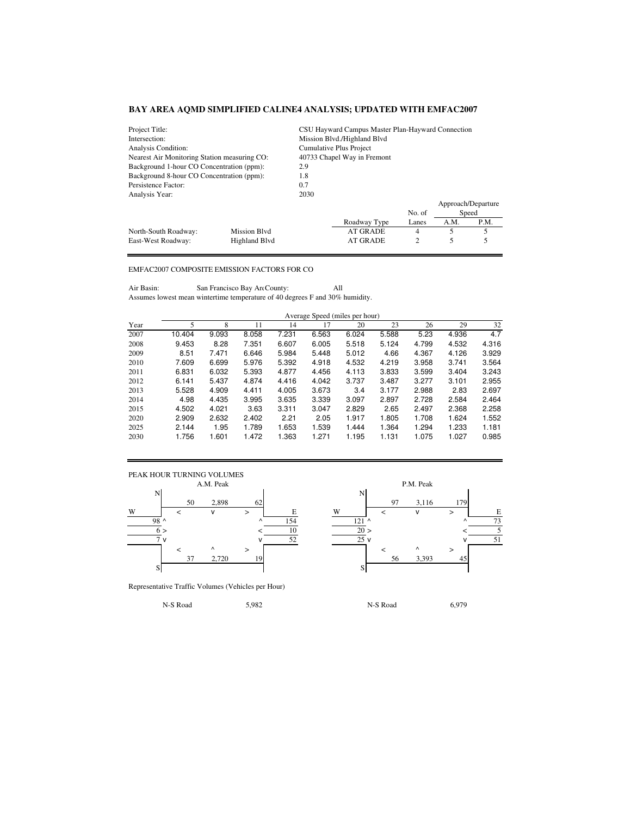| Project Title:                                              |              | CSU Hayward Campus Master Plan-Hayward Connection |                             |        |      |                    |  |  |
|-------------------------------------------------------------|--------------|---------------------------------------------------|-----------------------------|--------|------|--------------------|--|--|
| Intersection:                                               |              |                                                   | Mission Blvd./Highland Blvd |        |      |                    |  |  |
| Analysis Condition:                                         |              | Cumulative Plus Project                           |                             |        |      |                    |  |  |
| Nearest Air Monitoring Station measuring CO:                |              | 40733 Chapel Way in Fremont                       |                             |        |      |                    |  |  |
| Background 1-hour CO Concentration (ppm):                   |              | 2.9                                               |                             |        |      |                    |  |  |
| Background 8-hour CO Concentration (ppm):<br>1.8            |              |                                                   |                             |        |      |                    |  |  |
| Persistence Factor:<br>0.7                                  |              |                                                   |                             |        |      |                    |  |  |
| Analysis Year:                                              |              | 2030                                              |                             |        |      |                    |  |  |
|                                                             |              |                                                   |                             |        |      | Approach/Departure |  |  |
|                                                             |              |                                                   |                             | No. of |      | Speed              |  |  |
|                                                             |              |                                                   | Roadway Type                | Lanes  | A.M. | P.M.               |  |  |
| North-South Roadway:                                        | Mission Blvd |                                                   | AT GRADE                    | 4      | 5    | 5                  |  |  |
| <b>AT GRADE</b><br>2<br>Highland Blyd<br>East-West Roadway: |              |                                                   |                             |        |      |                    |  |  |

## EMFAC2007 COMPOSITE EMISSION FACTORS FOR CO

Air Basin: San Francisco Bay Are County: All Assumes lowest mean wintertime temperature of 40 degrees F and 30% humidity.

|      | Average Speed (miles per hour) |       |       |       |       |       |       |       |       |       |
|------|--------------------------------|-------|-------|-------|-------|-------|-------|-------|-------|-------|
| Year | 5                              | 8     | 11    | 14    | 17    | 20    | 23    | 26    | 29    | 32    |
| 2007 | 10.404                         | 9.093 | 8.058 | 7.231 | 6.563 | 6.024 | 5.588 | 5.23  | 4.936 | 4.7   |
| 2008 | 9.453                          | 8.28  | 7.351 | 6.607 | 6.005 | 5.518 | 5.124 | 4.799 | 4.532 | 4.316 |
| 2009 | 8.51                           | 7.471 | 6.646 | 5.984 | 5.448 | 5.012 | 4.66  | 4.367 | 4.126 | 3.929 |
| 2010 | 7.609                          | 6.699 | 5.976 | 5.392 | 4.918 | 4.532 | 4.219 | 3.958 | 3.741 | 3.564 |
| 2011 | 6.831                          | 6.032 | 5.393 | 4.877 | 4.456 | 4.113 | 3.833 | 3.599 | 3.404 | 3.243 |
| 2012 | 6.141                          | 5.437 | 4.874 | 4.416 | 4.042 | 3.737 | 3.487 | 3.277 | 3.101 | 2.955 |
| 2013 | 5.528                          | 4.909 | 4.411 | 4.005 | 3.673 | 3.4   | 3.177 | 2.988 | 2.83  | 2.697 |
| 2014 | 4.98                           | 4.435 | 3.995 | 3.635 | 3.339 | 3.097 | 2.897 | 2.728 | 2.584 | 2.464 |
| 2015 | 4.502                          | 4.021 | 3.63  | 3.311 | 3.047 | 2.829 | 2.65  | 2.497 | 2.368 | 2.258 |
| 2020 | 2.909                          | 2.632 | 2.402 | 2.21  | 2.05  | 1.917 | 1.805 | 1.708 | 1.624 | 1.552 |
| 2025 | 2.144                          | 1.95  | 1.789 | 1.653 | 1.539 | 1.444 | 1.364 | 1.294 | 1.233 | 1.181 |
| 2030 | 1.756                          | 1.601 | 1.472 | 1.363 | 1.271 | 1.195 | 1.131 | 1.075 | 1.027 | 0.985 |



Representative Traffic Volumes (Vehicles per Hour)

50 2,898 62 97 3,116 179 98 ^ ^ 154 121 ^ ^ 73 6 >  $\leq$  10  $\geq$  20 >  $\leq$  5  $\frac{7}{7}$  v  $\frac{52}{52}$   $\frac{25}{9}$  v  $\frac{51}{25}$ 37 2,720 19 56 3,393 45

N-S Road 5,982 N-S Road 6,979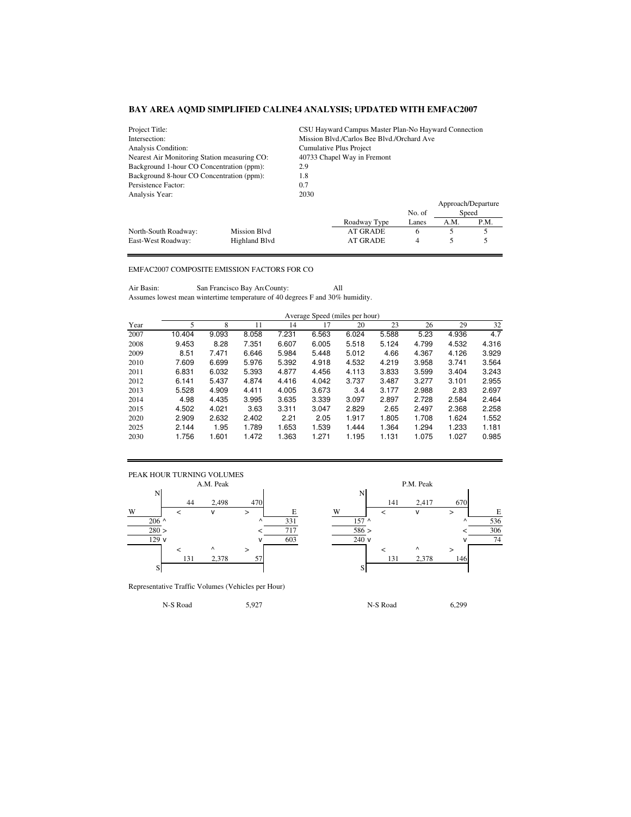| Project Title:                                                   |              | CSU Hayward Campus Master Plan-No Hayward Connection |                                            |        |                    |      |  |
|------------------------------------------------------------------|--------------|------------------------------------------------------|--------------------------------------------|--------|--------------------|------|--|
| Intersection:                                                    |              |                                                      | Mission Blvd./Carlos Bee Blvd./Orchard Ave |        |                    |      |  |
| Analysis Condition:                                              |              | Cumulative Plus Project                              |                                            |        |                    |      |  |
| Nearest Air Monitoring Station measuring CO:                     |              | 40733 Chapel Way in Fremont                          |                                            |        |                    |      |  |
| Background 1-hour CO Concentration (ppm):                        |              | 2.9                                                  |                                            |        |                    |      |  |
| Background 8-hour CO Concentration (ppm):<br>1.8                 |              |                                                      |                                            |        |                    |      |  |
| Persistence Factor:<br>0.7                                       |              |                                                      |                                            |        |                    |      |  |
| Analysis Year:                                                   |              | 2030                                                 |                                            |        |                    |      |  |
|                                                                  |              |                                                      |                                            |        | Approach/Departure |      |  |
|                                                                  |              |                                                      |                                            | No. of | Speed              |      |  |
|                                                                  |              |                                                      | Roadway Type                               | Lanes  | A.M.               | P.M. |  |
| North-South Roadway:                                             | Mission Blvd |                                                      | AT GRADE                                   | 6      | 5                  |      |  |
| 5<br><b>Highland Blvd</b><br>AT GRADE<br>East-West Roadway:<br>4 |              |                                                      |                                            |        |                    |      |  |

## EMFAC2007 COMPOSITE EMISSION FACTORS FOR CO

Air Basin: San Francisco Bay Are County: All Assumes lowest mean wintertime temperature of 40 degrees F and 30% humidity.

|      | Average Speed (miles per hour) |       |       |       |       |       |       |       |       |       |
|------|--------------------------------|-------|-------|-------|-------|-------|-------|-------|-------|-------|
| Year | 5                              | 8     | 11    | 14    | 17    | 20    | 23    | 26    | 29    | 32    |
| 2007 | 10.404                         | 9.093 | 8.058 | 7.231 | 6.563 | 6.024 | 5.588 | 5.23  | 4.936 | 4.7   |
| 2008 | 9.453                          | 8.28  | 7.351 | 6.607 | 6.005 | 5.518 | 5.124 | 4.799 | 4.532 | 4.316 |
| 2009 | 8.51                           | 7.471 | 6.646 | 5.984 | 5.448 | 5.012 | 4.66  | 4.367 | 4.126 | 3.929 |
| 2010 | 7.609                          | 6.699 | 5.976 | 5.392 | 4.918 | 4.532 | 4.219 | 3.958 | 3.741 | 3.564 |
| 2011 | 6.831                          | 6.032 | 5.393 | 4.877 | 4.456 | 4.113 | 3.833 | 3.599 | 3.404 | 3.243 |
| 2012 | 6.141                          | 5.437 | 4.874 | 4.416 | 4.042 | 3.737 | 3.487 | 3.277 | 3.101 | 2.955 |
| 2013 | 5.528                          | 4.909 | 4.411 | 4.005 | 3.673 | 3.4   | 3.177 | 2.988 | 2.83  | 2.697 |
| 2014 | 4.98                           | 4.435 | 3.995 | 3.635 | 3.339 | 3.097 | 2.897 | 2.728 | 2.584 | 2.464 |
| 2015 | 4.502                          | 4.021 | 3.63  | 3.311 | 3.047 | 2.829 | 2.65  | 2.497 | 2.368 | 2.258 |
| 2020 | 2.909                          | 2.632 | 2.402 | 2.21  | 2.05  | 1.917 | 1.805 | 1.708 | 1.624 | 1.552 |
| 2025 | 2.144                          | 1.95  | 1.789 | 1.653 | 1.539 | 1.444 | 1.364 | 1.294 | 1.233 | 1.181 |
| 2030 | 1.756                          | 1.601 | 1.472 | 1.363 | 1.271 | 1.195 | 1.131 | 1.075 | 1.027 | 0.985 |



Representative Traffic Volumes (Vehicles per Hour)

44 2,498 470 141 2,417 670 206 ^ ^ 331 157 ^ ^ 536 280 > < 717 586 > < 306  $\sqrt{603}$   $\sqrt{240}$  v  $\sqrt{74}$ 131 2,378 57 131 2,378 146

N-S Road 5,927 N-S Road 6,299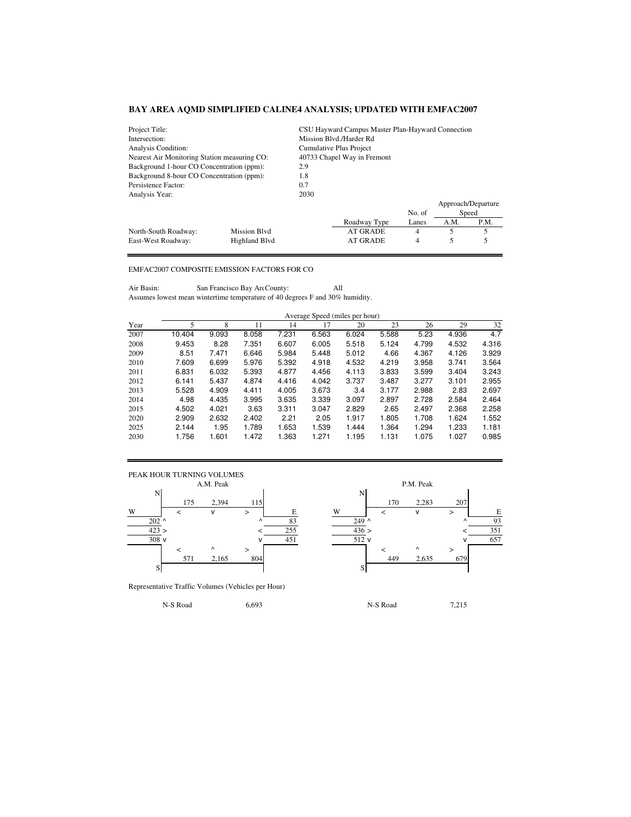| Project Title:                                              |              | CSU Hayward Campus Master Plan-Hayward Connection |                         |        |      |                    |  |  |
|-------------------------------------------------------------|--------------|---------------------------------------------------|-------------------------|--------|------|--------------------|--|--|
| Intersection:                                               |              |                                                   | Mission Blvd./Harder Rd |        |      |                    |  |  |
| Analysis Condition:                                         |              | Cumulative Plus Project                           |                         |        |      |                    |  |  |
| Nearest Air Monitoring Station measuring CO:                |              | 40733 Chapel Way in Fremont                       |                         |        |      |                    |  |  |
| Background 1-hour CO Concentration (ppm):                   |              | 2.9                                               |                         |        |      |                    |  |  |
| Background 8-hour CO Concentration (ppm):<br>1.8            |              |                                                   |                         |        |      |                    |  |  |
| Persistence Factor:<br>0.7                                  |              |                                                   |                         |        |      |                    |  |  |
| Analysis Year:                                              |              | 2030                                              |                         |        |      |                    |  |  |
|                                                             |              |                                                   |                         |        |      | Approach/Departure |  |  |
|                                                             |              |                                                   |                         | No. of |      | Speed              |  |  |
|                                                             |              |                                                   | Roadway Type            | Lanes  | A.M. | P.M.               |  |  |
| North-South Roadway:                                        | Mission Blvd |                                                   | AT GRADE                | 4      | 5    | 5                  |  |  |
| <b>AT GRADE</b><br>Highland Blyd<br>4<br>East-West Roadway: |              |                                                   |                         |        |      |                    |  |  |

## EMFAC2007 COMPOSITE EMISSION FACTORS FOR CO

Air Basin: San Francisco Bay Are County: All Assumes lowest mean wintertime temperature of 40 degrees F and 30% humidity.

|      | Average Speed (miles per hour) |       |       |       |       |       |       |       |       |       |
|------|--------------------------------|-------|-------|-------|-------|-------|-------|-------|-------|-------|
| Year | 5                              | 8     | 11    | 14    | 17    | 20    | 23    | 26    | 29    | 32    |
| 2007 | 10.404                         | 9.093 | 8.058 | 7.231 | 6.563 | 6.024 | 5.588 | 5.23  | 4.936 | 4.7   |
| 2008 | 9.453                          | 8.28  | 7.351 | 6.607 | 6.005 | 5.518 | 5.124 | 4.799 | 4.532 | 4.316 |
| 2009 | 8.51                           | 7.471 | 6.646 | 5.984 | 5.448 | 5.012 | 4.66  | 4.367 | 4.126 | 3.929 |
| 2010 | 7.609                          | 6.699 | 5.976 | 5.392 | 4.918 | 4.532 | 4.219 | 3.958 | 3.741 | 3.564 |
| 2011 | 6.831                          | 6.032 | 5.393 | 4.877 | 4.456 | 4.113 | 3.833 | 3.599 | 3.404 | 3.243 |
| 2012 | 6.141                          | 5.437 | 4.874 | 4.416 | 4.042 | 3.737 | 3.487 | 3.277 | 3.101 | 2.955 |
| 2013 | 5.528                          | 4.909 | 4.411 | 4.005 | 3.673 | 3.4   | 3.177 | 2.988 | 2.83  | 2.697 |
| 2014 | 4.98                           | 4.435 | 3.995 | 3.635 | 3.339 | 3.097 | 2.897 | 2.728 | 2.584 | 2.464 |
| 2015 | 4.502                          | 4.021 | 3.63  | 3.311 | 3.047 | 2.829 | 2.65  | 2.497 | 2.368 | 2.258 |
| 2020 | 2.909                          | 2.632 | 2.402 | 2.21  | 2.05  | 1.917 | 1.805 | 1.708 | 1.624 | 1.552 |
| 2025 | 2.144                          | 1.95  | 1.789 | 1.653 | 1.539 | 1.444 | 1.364 | 1.294 | 1.233 | 1.181 |
| 2030 | 1.756                          | 1.601 | 1.472 | 1.363 | 1.271 | 1.195 | 1.131 | 1.075 | 1.027 | 0.985 |



Representative Traffic Volumes (Vehicles per Hour)

175 2,394 115 170 2,283 207  $202 \wedge$  03 249 ^  $249 \wedge$  03  $423 >$   $255$   $436 >$   $436 >$   $436 >$   $436 >$  $\sqrt{451}$   $\sqrt{512}$  v  $\sqrt{657}$ 571 2,165 804 449 2,635 679

N-S Road 6,693 N-S Road 7,215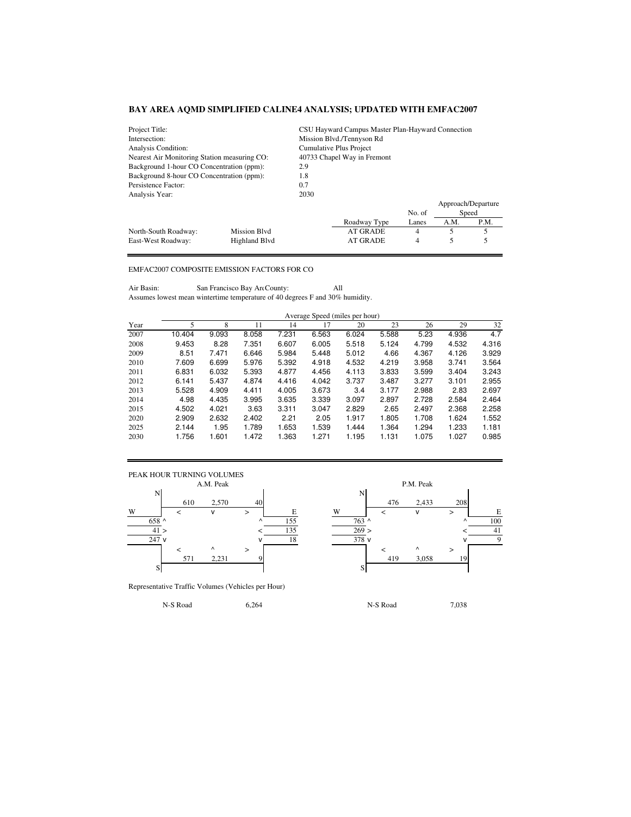| Project Title:                                              |              |                             | CSU Hayward Campus Master Plan-Hayward Connection |        |      |                    |  |  |  |
|-------------------------------------------------------------|--------------|-----------------------------|---------------------------------------------------|--------|------|--------------------|--|--|--|
| Intersection:                                               |              |                             | Mission Blvd./Tennyson Rd                         |        |      |                    |  |  |  |
| Analysis Condition:                                         |              | Cumulative Plus Project     |                                                   |        |      |                    |  |  |  |
| Nearest Air Monitoring Station measuring CO:                |              | 40733 Chapel Way in Fremont |                                                   |        |      |                    |  |  |  |
| Background 1-hour CO Concentration (ppm):                   |              | 2.9                         |                                                   |        |      |                    |  |  |  |
| Background 8-hour CO Concentration (ppm):<br>1.8            |              |                             |                                                   |        |      |                    |  |  |  |
| Persistence Factor:                                         | 0.7          |                             |                                                   |        |      |                    |  |  |  |
| Analysis Year:                                              |              | 2030                        |                                                   |        |      |                    |  |  |  |
|                                                             |              |                             |                                                   |        |      | Approach/Departure |  |  |  |
|                                                             |              |                             |                                                   | No. of |      | Speed              |  |  |  |
|                                                             |              |                             | Roadway Type                                      | Lanes  | A.M. | P.M.               |  |  |  |
| North-South Roadway:                                        | Mission Blvd |                             | AT GRADE                                          | 4      | 5    | 5                  |  |  |  |
| <b>AT GRADE</b><br>Highland Blyd<br>4<br>East-West Roadway: |              |                             |                                                   |        |      |                    |  |  |  |

## EMFAC2007 COMPOSITE EMISSION FACTORS FOR CO

Air Basin: San Francisco Bay Are County: All Assumes lowest mean wintertime temperature of 40 degrees F and 30% humidity.

|      | Average Speed (miles per hour) |       |       |       |       |       |       |       |       |       |
|------|--------------------------------|-------|-------|-------|-------|-------|-------|-------|-------|-------|
| Year | 5                              | 8     | 11    | 14    | 17    | 20    | 23    | 26    | 29    | 32    |
| 2007 | 10.404                         | 9.093 | 8.058 | 7.231 | 6.563 | 6.024 | 5.588 | 5.23  | 4.936 | 4.7   |
| 2008 | 9.453                          | 8.28  | 7.351 | 6.607 | 6.005 | 5.518 | 5.124 | 4.799 | 4.532 | 4.316 |
| 2009 | 8.51                           | 7.471 | 6.646 | 5.984 | 5.448 | 5.012 | 4.66  | 4.367 | 4.126 | 3.929 |
| 2010 | 7.609                          | 6.699 | 5.976 | 5.392 | 4.918 | 4.532 | 4.219 | 3.958 | 3.741 | 3.564 |
| 2011 | 6.831                          | 6.032 | 5.393 | 4.877 | 4.456 | 4.113 | 3.833 | 3.599 | 3.404 | 3.243 |
| 2012 | 6.141                          | 5.437 | 4.874 | 4.416 | 4.042 | 3.737 | 3.487 | 3.277 | 3.101 | 2.955 |
| 2013 | 5.528                          | 4.909 | 4.411 | 4.005 | 3.673 | 3.4   | 3.177 | 2.988 | 2.83  | 2.697 |
| 2014 | 4.98                           | 4.435 | 3.995 | 3.635 | 3.339 | 3.097 | 2.897 | 2.728 | 2.584 | 2.464 |
| 2015 | 4.502                          | 4.021 | 3.63  | 3.311 | 3.047 | 2.829 | 2.65  | 2.497 | 2.368 | 2.258 |
| 2020 | 2.909                          | 2.632 | 2.402 | 2.21  | 2.05  | 1.917 | 1.805 | 1.708 | 1.624 | 1.552 |
| 2025 | 2.144                          | 1.95  | 1.789 | 1.653 | 1.539 | 1.444 | 1.364 | 1.294 | 1.233 | 1.181 |
| 2030 | 1.756                          | 1.601 | 1.472 | 1.363 | 1.271 | 1.195 | 1.131 | 1.075 | 1.027 | 0.985 |



Representative Traffic Volumes (Vehicles per Hour)

N-S Road 6,264 N-S Road 7,038

610 2,570 40 476 2,433 208 658 ^ ^ 155 763 ^ ^ 100  $41 >$   $<$   $135$   $269 >$   $<$   $41$  $\sqrt{18}$   $\sqrt{378}$  v  $\sqrt{9}$ 571 2,231 9 419 3,058 19